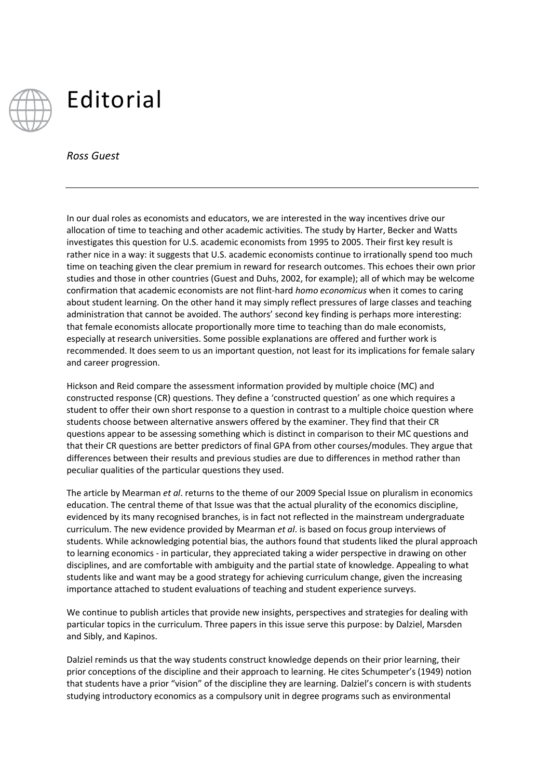

## Editorial

*Ross Guest*

In our dual roles as economists and educators, we are interested in the way incentives drive our allocation of time to teaching and other academic activities. The study by Harter, Becker and Watts investigates this question for U.S. academic economists from 1995 to 2005. Their first key result is rather nice in a way: it suggests that U.S. academic economists continue to irrationally spend too much time on teaching given the clear premium in reward for research outcomes. This echoes their own prior studies and those in other countries (Guest and Duhs, 2002, for example); all of which may be welcome confirmation that academic economists are not flint-hard *homo economicus* when it comes to caring about student learning. On the other hand it may simply reflect pressures of large classes and teaching administration that cannot be avoided. The authors' second key finding is perhaps more interesting: that female economists allocate proportionally more time to teaching than do male economists, especially at research universities. Some possible explanations are offered and further work is recommended. It does seem to us an important question, not least for its implications for female salary and career progression.

Hickson and Reid compare the assessment information provided by multiple choice (MC) and constructed response (CR) questions. They define a 'constructed question' as one which requires a student to offer their own short response to a question in contrast to a multiple choice question where students choose between alternative answers offered by the examiner. They find that their CR questions appear to be assessing something which is distinct in comparison to their MC questions and that their CR questions are better predictors of final GPA from other courses/modules. They argue that differences between their results and previous studies are due to differences in method rather than peculiar qualities of the particular questions they used.

The article by Mearman *et al*. returns to the theme of our 2009 Special Issue on pluralism in economics education. The central theme of that Issue was that the actual plurality of the economics discipline, evidenced by its many recognised branches, is in fact not reflected in the mainstream undergraduate curriculum. The new evidence provided by Mearman *et al*. is based on focus group interviews of students. While acknowledging potential bias, the authors found that students liked the plural approach to learning economics - in particular, they appreciated taking a wider perspective in drawing on other disciplines, and are comfortable with ambiguity and the partial state of knowledge. Appealing to what students like and want may be a good strategy for achieving curriculum change, given the increasing importance attached to student evaluations of teaching and student experience surveys.

We continue to publish articles that provide new insights, perspectives and strategies for dealing with particular topics in the curriculum. Three papers in this issue serve this purpose: by Dalziel, Marsden and Sibly, and Kapinos.

Dalziel reminds us that the way students construct knowledge depends on their prior learning, their prior conceptions of the discipline and their approach to learning. He cites Schumpeter's (1949) notion that students have a prior "vision" of the discipline they are learning. Dalziel's concern is with students studying introductory economics as a compulsory unit in degree programs such as environmental